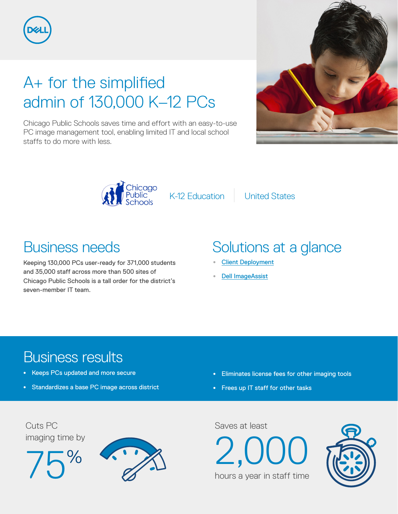

# A+ for the simplified admin of 130,000 K–12 PCs

Chicago Public Schools saves time and effort with an easy-to-use PC image management tool, enabling limited IT and local school staffs to do more with less.





K-12 Education United States

## Business needs

Keeping 130,000 PCs user-ready for 371,000 students and 35,000 staff across more than 500 sites of Chicago Public Schools is a tall order for the district's seven-member IT team.

# Solutions at a glance

- **•** [Client Deployment](http://www.dell.com/learn/us/en/04/by-service-type-deployment)
- **•** [Dell ImageAssist](http://www.dell.com/en-us/work/learn/imageassist)

### Business results

- **•** Keeps PCs updated and more secure
- **•** Standardizes a base PC image across district
- **•** Eliminates license fees for other imaging tools
- **•** Frees up IT staff for other tasks







hours a year in staff time

 $2.00$ 

Saves at least

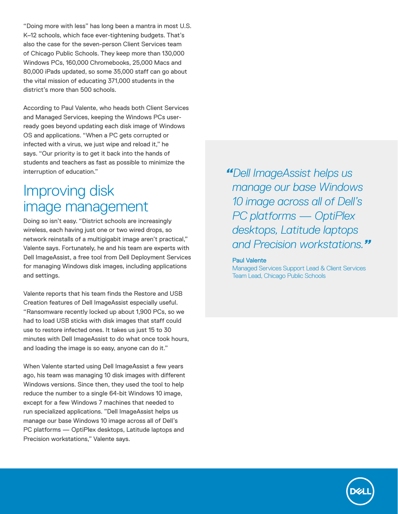"Doing more with less" has long been a mantra in most U.S. K–12 schools, which face ever-tightening budgets. That's also the case for the seven-person Client Services team of Chicago Public Schools. They keep more than 130,000 Windows PCs, 160,000 Chromebooks, 25,000 Macs and 80,000 iPads updated, so some 35,000 staff can go about the vital mission of educating 371,000 students in the district's more than 500 schools.

According to Paul Valente, who heads both Client Services and Managed Services, keeping the Windows PCs userready goes beyond updating each disk image of Windows OS and applications. "When a PC gets corrupted or infected with a virus, we just wipe and reload it," he says. "Our priority is to get it back into the hands of students and teachers as fast as possible to minimize the interruption of education."

#### Improving disk image management

Doing so isn't easy. "District schools are increasingly wireless, each having just one or two wired drops, so network reinstalls of a multigigabit image aren't practical," Valente says. Fortunately, he and his team are experts with Dell ImageAssist, a free tool from Dell Deployment Services for managing Windows disk images, including applications and settings.

Valente reports that his team finds the Restore and USB Creation features of Dell ImageAssist especially useful. "Ransomware recently locked up about 1,900 PCs, so we had to load USB sticks with disk images that staff could use to restore infected ones. It takes us just 15 to 30 minutes with Dell ImageAssist to do what once took hours, and loading the image is so easy, anyone can do it."

When Valente started using Dell ImageAssist a few years ago, his team was managing 10 disk images with different Windows versions. Since then, they used the tool to help reduce the number to a single 64-bit Windows 10 image, except for a few Windows 7 machines that needed to run specialized applications. "Dell ImageAssist helps us manage our base Windows 10 image across all of Dell's PC platforms — OptiPlex desktops, Latitude laptops and Precision workstations," Valente says.

*"Dell ImageAssist helps us manage our base Windows 10 image across all of Dell's PC platforms — OptiPlex desktops, Latitude laptops and Precision workstations."*

#### Paul Valente

Managed Services Support Lead & Client Services Team Lead, Chicago Public Schools